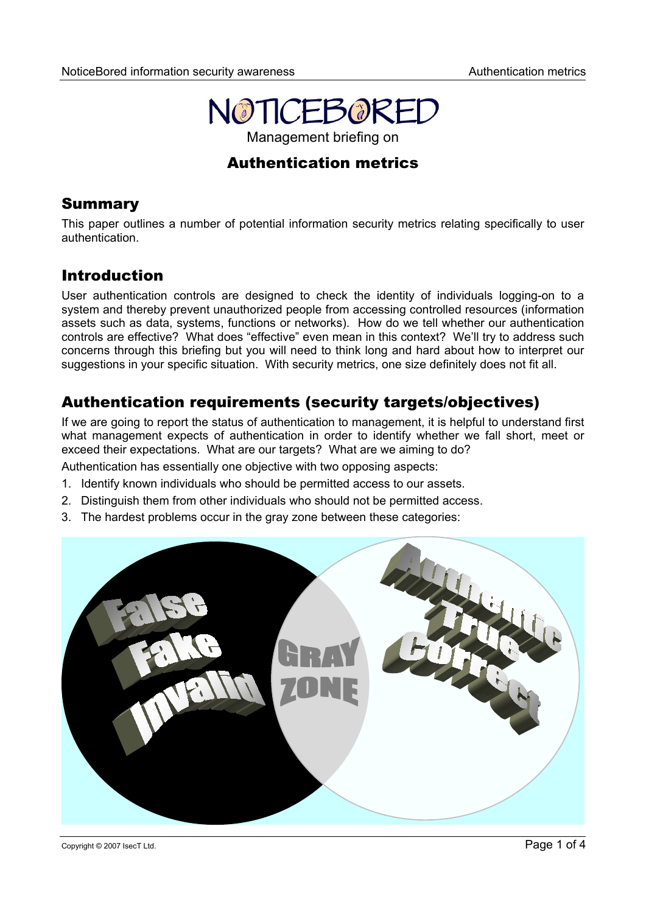

# Authentication metrics

## Summary

This paper outlines a number of potential information security metrics relating specifically to user authentication.

## Introduction

User authentication controls are designed to check the identity of individuals logging-on to a system and thereby prevent unauthorized people from accessing controlled resources (information assets such as data, systems, functions or networks). How do we tell whether our authentication controls are effective? What does "effective" even mean in this context? We'll try to address such concerns through this briefing but you will need to think long and hard about how to interpret our suggestions in your specific situation. With security metrics, one size definitely does not fit all.

# Authentication requirements (security targets/objectives)

If we are going to report the status of authentication to management, it is helpful to understand first what management expects of authentication in order to identify whether we fall short, meet or exceed their expectations. What are our targets? What are we aiming to do?

Authentication has essentially one objective with two opposing aspects:

- 1. Identify known individuals who should be permitted access to our assets.
- 2. Distinguish them from other individuals who should not be permitted access.
- 3. The hardest problems occur in the gray zone between these categories:

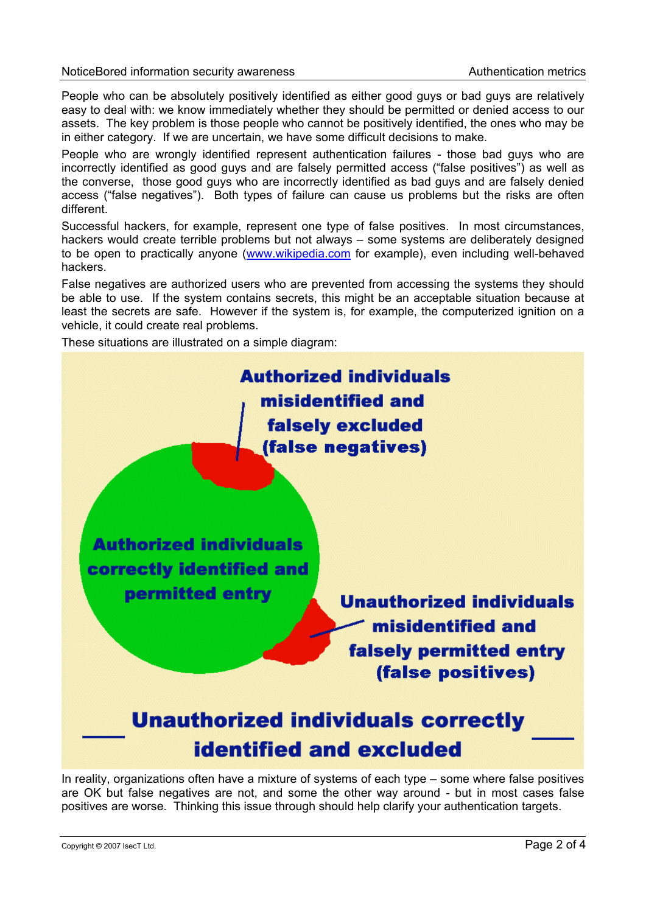People who can be absolutely positively identified as either good guys or bad guys are relatively easy to deal with: we know immediately whether they should be permitted or denied access to our assets. The key problem is those people who cannot be positively identified, the ones who may be in either category. If we are uncertain, we have some difficult decisions to make.

People who are wrongly identified represent authentication failures - those bad guys who are incorrectly identified as good guys and are falsely permitted access ("false positives") as well as the converse, those good guys who are incorrectly identified as bad guys and are falsely denied access ("false negatives"). Both types of failure can cause us problems but the risks are often different.

Successful hackers, for example, represent one type of false positives. In most circumstances, hackers would create terrible problems but not always – some systems are deliberately designed to be open to practically anyone [\(www.wikipedia.com](http://www.wikipedia.com/) for example), even including well-behaved hackers.

False negatives are authorized users who are prevented from accessing the systems they should be able to use. If the system contains secrets, this might be an acceptable situation because at least the secrets are safe. However if the system is, for example, the computerized ignition on a vehicle, it could create real problems.

These situations are illustrated on a simple diagram:



In reality, organizations often have a mixture of systems of each type – some where false positives are OK but false negatives are not, and some the other way around - but in most cases false positives are worse. Thinking this issue through should help clarify your authentication targets.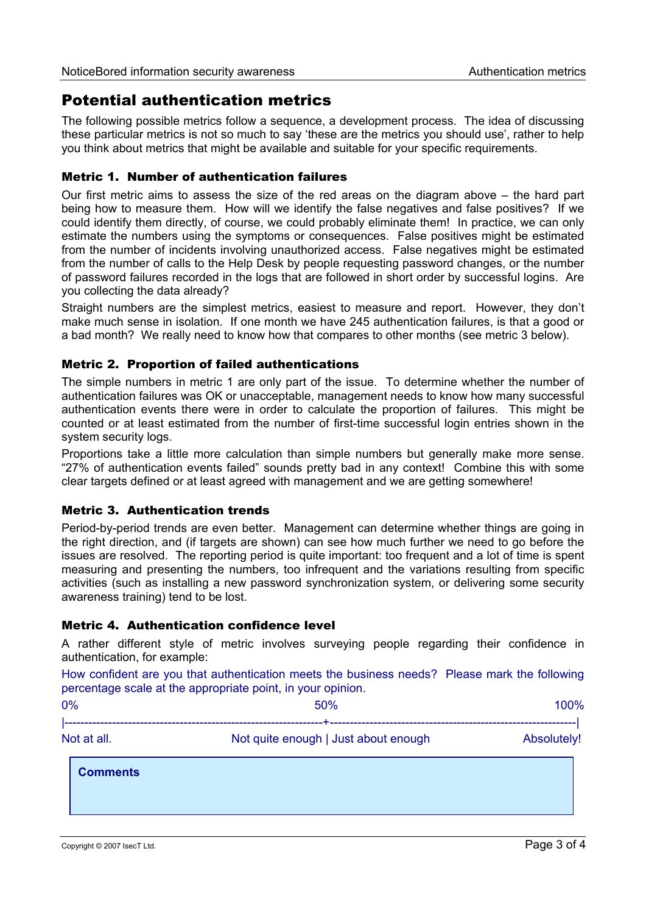## Potential authentication metrics

The following possible metrics follow a sequence, a development process. The idea of discussing these particular metrics is not so much to say 'these are the metrics you should use', rather to help you think about metrics that might be available and suitable for your specific requirements.

### Metric 1. Number of authentication failures

Our first metric aims to assess the size of the red areas on the diagram above – the hard part being how to measure them. How will we identify the false negatives and false positives? If we could identify them directly, of course, we could probably eliminate them! In practice, we can only estimate the numbers using the symptoms or consequences. False positives might be estimated from the number of incidents involving unauthorized access. False negatives might be estimated from the number of calls to the Help Desk by people requesting password changes, or the number of password failures recorded in the logs that are followed in short order by successful logins. Are you collecting the data already?

Straight numbers are the simplest metrics, easiest to measure and report. However, they don't make much sense in isolation. If one month we have 245 authentication failures, is that a good or a bad month? We really need to know how that compares to other months (see metric 3 below).

### Metric 2. Proportion of failed authentications

The simple numbers in metric 1 are only part of the issue. To determine whether the number of authentication failures was OK or unacceptable, management needs to know how many successful authentication events there were in order to calculate the proportion of failures. This might be counted or at least estimated from the number of first-time successful login entries shown in the system security logs.

Proportions take a little more calculation than simple numbers but generally make more sense. "27% of authentication events failed" sounds pretty bad in any context! Combine this with some clear targets defined or at least agreed with management and we are getting somewhere!

### Metric 3. Authentication trends

Period-by-period trends are even better. Management can determine whether things are going in the right direction, and (if targets are shown) can see how much further we need to go before the issues are resolved. The reporting period is quite important: too frequent and a lot of time is spent measuring and presenting the numbers, too infrequent and the variations resulting from specific activities (such as installing a new password synchronization system, or delivering some security awareness training) tend to be lost.

### Metric 4. Authentication confidence level

A rather different style of metric involves surveying people regarding their confidence in authentication, for example:

How confident are you that authentication meets the business needs? Please mark the following percentage scale at the appropriate point, in your opinion.

| 0%          | 50%                                  | 100%        |
|-------------|--------------------------------------|-------------|
|             |                                      |             |
| Not at all. | Not quite enough   Just about enough | Absolutely! |

**Comments**